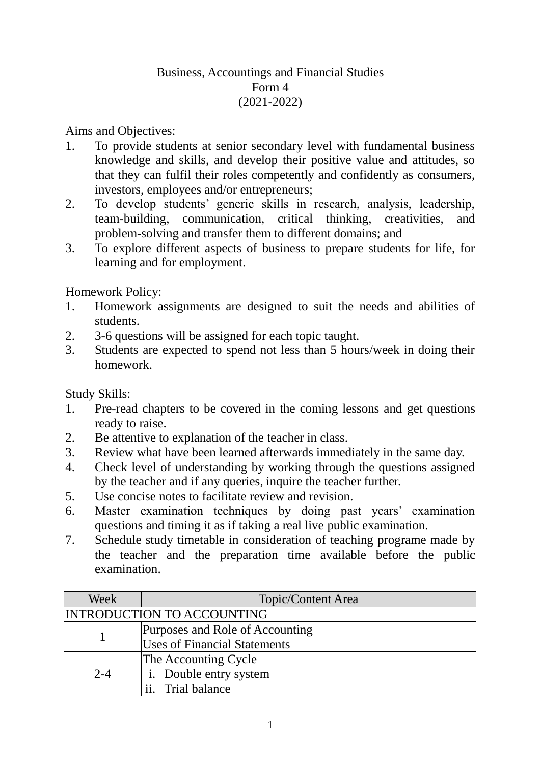## Business, Accountings and Financial Studies Form 4 (2021-2022)

Aims and Objectives:

- 1. To provide students at senior secondary level with fundamental business knowledge and skills, and develop their positive value and attitudes, so that they can fulfil their roles competently and confidently as consumers, investors, employees and/or entrepreneurs;
- 2. To develop students' generic skills in research, analysis, leadership, team-building, communication, critical thinking, creativities, and problem-solving and transfer them to different domains; and
- 3. To explore different aspects of business to prepare students for life, for learning and for employment.

Homework Policy:

- 1. Homework assignments are designed to suit the needs and abilities of students.
- 2. 3-6 questions will be assigned for each topic taught.
- 3. Students are expected to spend not less than 5 hours/week in doing their homework.

Study Skills:

- 1. Pre-read chapters to be covered in the coming lessons and get questions ready to raise.
- 2. Be attentive to explanation of the teacher in class.
- 3. Review what have been learned afterwards immediately in the same day.
- 4. Check level of understanding by working through the questions assigned by the teacher and if any queries, inquire the teacher further.
- 5. Use concise notes to facilitate review and revision.
- 6. Master examination techniques by doing past years' examination questions and timing it as if taking a real live public examination.
- 7. Schedule study timetable in consideration of teaching programe made by the teacher and the preparation time available before the public examination.

| Week                       | Topic/Content Area                  |
|----------------------------|-------------------------------------|
| INTRODUCTION TO ACCOUNTING |                                     |
|                            | Purposes and Role of Accounting     |
|                            | <b>Uses of Financial Statements</b> |
| $2 - 4$                    | The Accounting Cycle                |
|                            | i. Double entry system              |
|                            | ii. Trial balance                   |